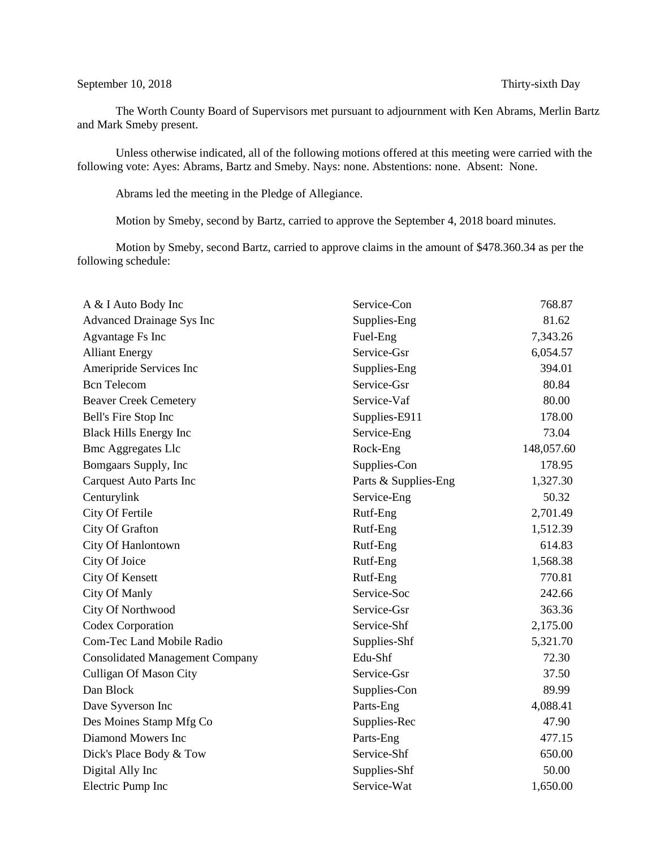## September 10, 2018 Thirty-sixth Day

The Worth County Board of Supervisors met pursuant to adjournment with Ken Abrams, Merlin Bartz and Mark Smeby present.

Unless otherwise indicated, all of the following motions offered at this meeting were carried with the following vote: Ayes: Abrams, Bartz and Smeby. Nays: none. Abstentions: none. Absent: None.

Abrams led the meeting in the Pledge of Allegiance.

Motion by Smeby, second by Bartz, carried to approve the September 4, 2018 board minutes.

Motion by Smeby, second Bartz, carried to approve claims in the amount of \$478.360.34 as per the following schedule:

| A & I Auto Body Inc                    | Service-Con          | 768.87     |
|----------------------------------------|----------------------|------------|
| <b>Advanced Drainage Sys Inc</b>       | Supplies-Eng         | 81.62      |
| Agvantage Fs Inc                       | Fuel-Eng             | 7,343.26   |
| <b>Alliant Energy</b>                  | Service-Gsr          | 6,054.57   |
| Ameripride Services Inc                | Supplies-Eng         | 394.01     |
| <b>Bcn</b> Telecom                     | Service-Gsr          | 80.84      |
| <b>Beaver Creek Cemetery</b>           | Service-Vaf          | 80.00      |
| Bell's Fire Stop Inc                   | Supplies-E911        | 178.00     |
| <b>Black Hills Energy Inc</b>          | Service-Eng          | 73.04      |
| <b>Bmc Aggregates Llc</b>              | Rock-Eng             | 148,057.60 |
| Bomgaars Supply, Inc                   | Supplies-Con         | 178.95     |
| <b>Carquest Auto Parts Inc</b>         | Parts & Supplies-Eng | 1,327.30   |
| Centurylink                            | Service-Eng          | 50.32      |
| City Of Fertile                        | Rutf-Eng             | 2,701.49   |
| City Of Grafton                        | Rutf-Eng             | 1,512.39   |
| City Of Hanlontown                     | Rutf-Eng             | 614.83     |
| City Of Joice                          | Rutf-Eng             | 1,568.38   |
| City Of Kensett                        | Rutf-Eng             | 770.81     |
| City Of Manly                          | Service-Soc          | 242.66     |
| City Of Northwood                      | Service-Gsr          | 363.36     |
| Codex Corporation                      | Service-Shf          | 2,175.00   |
| <b>Com-Tec Land Mobile Radio</b>       | Supplies-Shf         | 5,321.70   |
| <b>Consolidated Management Company</b> | Edu-Shf              | 72.30      |
| <b>Culligan Of Mason City</b>          | Service-Gsr          | 37.50      |
| Dan Block                              | Supplies-Con         | 89.99      |
| Dave Syverson Inc                      | Parts-Eng            | 4,088.41   |
| Des Moines Stamp Mfg Co                | Supplies-Rec         | 47.90      |
| Diamond Mowers Inc                     | Parts-Eng            | 477.15     |
| Dick's Place Body & Tow                | Service-Shf          | 650.00     |
| Digital Ally Inc                       | Supplies-Shf         | 50.00      |
| Electric Pump Inc                      | Service-Wat          | 1,650.00   |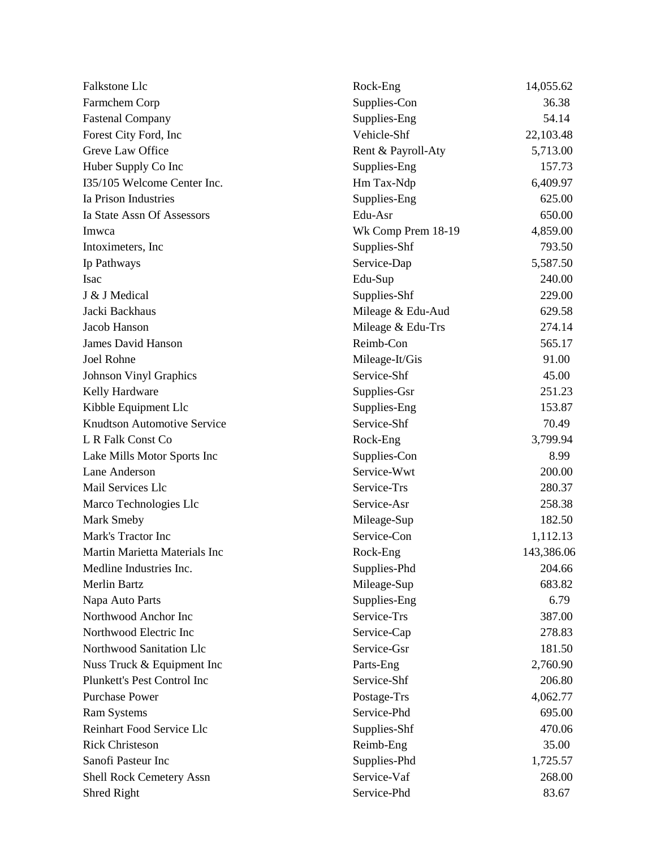| Falkstone Llc                      | Rock-Eng           | 14,055.62  |
|------------------------------------|--------------------|------------|
| Farmchem Corp                      | Supplies-Con       | 36.38      |
| <b>Fastenal Company</b>            | Supplies-Eng       | 54.14      |
| Forest City Ford, Inc              | Vehicle-Shf        | 22,103.48  |
| Greve Law Office                   | Rent & Payroll-Aty | 5,713.00   |
| Huber Supply Co Inc                | Supplies-Eng       | 157.73     |
| I35/105 Welcome Center Inc.        | Hm Tax-Ndp         | 6,409.97   |
| Ia Prison Industries               | Supplies-Eng       | 625.00     |
| Ia State Assn Of Assessors         | Edu-Asr            | 650.00     |
| Imwca                              | Wk Comp Prem 18-19 | 4,859.00   |
| Intoximeters, Inc.                 | Supplies-Shf       | 793.50     |
| Ip Pathways                        | Service-Dap        | 5,587.50   |
| Isac                               | Edu-Sup            | 240.00     |
| J & J Medical                      | Supplies-Shf       | 229.00     |
| Jacki Backhaus                     | Mileage & Edu-Aud  | 629.58     |
| Jacob Hanson                       | Mileage & Edu-Trs  | 274.14     |
| <b>James David Hanson</b>          | Reimb-Con          | 565.17     |
| Joel Rohne                         | Mileage-It/Gis     | 91.00      |
| <b>Johnson Vinyl Graphics</b>      | Service-Shf        | 45.00      |
| Kelly Hardware                     | Supplies-Gsr       | 251.23     |
| Kibble Equipment Llc               | Supplies-Eng       | 153.87     |
| <b>Knudtson Automotive Service</b> | Service-Shf        | 70.49      |
| L R Falk Const Co                  | Rock-Eng           | 3,799.94   |
| Lake Mills Motor Sports Inc        | Supplies-Con       | 8.99       |
| Lane Anderson                      | Service-Wwt        | 200.00     |
| Mail Services Llc                  | Service-Trs        | 280.37     |
| Marco Technologies Llc             | Service-Asr        | 258.38     |
| Mark Smeby                         | Mileage-Sup        | 182.50     |
| Mark's Tractor Inc                 | Service-Con        | 1,112.13   |
| Martin Marietta Materials Inc      | Rock-Eng           | 143,386.06 |
| Medline Industries Inc.            | Supplies-Phd       | 204.66     |
| <b>Merlin Bartz</b>                | Mileage-Sup        | 683.82     |
| Napa Auto Parts                    | Supplies-Eng       | 6.79       |
| Northwood Anchor Inc               | Service-Trs        | 387.00     |
| Northwood Electric Inc             | Service-Cap        | 278.83     |
| Northwood Sanitation Llc           | Service-Gsr        | 181.50     |
| Nuss Truck & Equipment Inc         | Parts-Eng          | 2,760.90   |
| Plunkett's Pest Control Inc        | Service-Shf        | 206.80     |
| <b>Purchase Power</b>              | Postage-Trs        | 4,062.77   |
| <b>Ram Systems</b>                 | Service-Phd        | 695.00     |
| Reinhart Food Service Llc          | Supplies-Shf       | 470.06     |
| <b>Rick Christeson</b>             | Reimb-Eng          | 35.00      |
| Sanofi Pasteur Inc                 | Supplies-Phd       | 1,725.57   |
| <b>Shell Rock Cemetery Assn</b>    | Service-Vaf        | 268.00     |
| Shred Right                        | Service-Phd        | 83.67      |
|                                    |                    |            |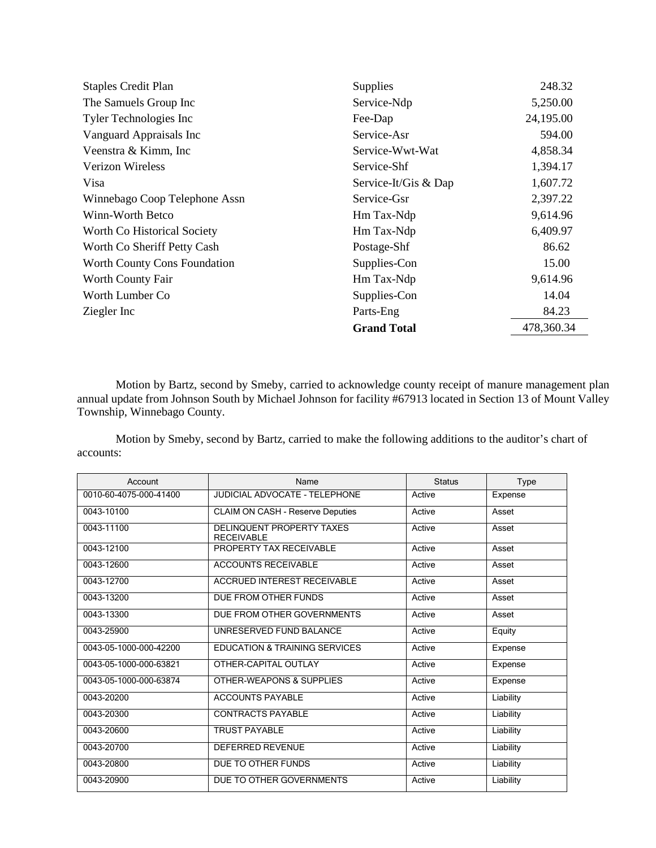| <b>Staples Credit Plan</b>    | Supplies             | 248.32     |
|-------------------------------|----------------------|------------|
| The Samuels Group Inc         | Service-Ndp          | 5,250.00   |
| Tyler Technologies Inc        | Fee-Dap              | 24,195.00  |
| Vanguard Appraisals Inc       | Service-Asr          | 594.00     |
| Veenstra & Kimm, Inc.         | Service-Wwt-Wat      | 4,858.34   |
| <b>Verizon Wireless</b>       | Service-Shf          | 1,394.17   |
| Visa                          | Service-It/Gis & Dap | 1,607.72   |
| Winnebago Coop Telephone Assn | Service-Gsr          | 2,397.22   |
| Winn-Worth Betco              | Hm Tax-Ndp           | 9,614.96   |
| Worth Co Historical Society   | Hm Tax-Ndp           | 6,409.97   |
| Worth Co Sheriff Petty Cash   | Postage-Shf          | 86.62      |
| Worth County Cons Foundation  | Supplies-Con         | 15.00      |
| Worth County Fair             | Hm Tax-Ndp           | 9,614.96   |
| Worth Lumber Co.              | Supplies-Con         | 14.04      |
| Ziegler Inc                   | Parts-Eng            | 84.23      |
|                               | <b>Grand Total</b>   | 478,360.34 |

Motion by Bartz, second by Smeby, carried to acknowledge county receipt of manure management plan annual update from Johnson South by Michael Johnson for facility #67913 located in Section 13 of Mount Valley Township, Winnebago County.

Motion by Smeby, second by Bartz, carried to make the following additions to the auditor's chart of accounts:

| Account                | Name                                                  | <b>Status</b> | Type      |
|------------------------|-------------------------------------------------------|---------------|-----------|
| 0010-60-4075-000-41400 | <b>JUDICIAL ADVOCATE - TELEPHONE</b>                  | Active        | Expense   |
| 0043-10100             | <b>CLAIM ON CASH - Reserve Deputies</b>               | Active        | Asset     |
| 0043-11100             | <b>DELINQUENT PROPERTY TAXES</b><br><b>RECEIVABLE</b> | Active        | Asset     |
| 0043-12100             | PROPERTY TAX RECEIVABLE                               | Active        | Asset     |
| 0043-12600             | <b>ACCOUNTS RECEIVABLE</b>                            | Active        | Asset     |
| 0043-12700             | <b>ACCRUED INTEREST RECEIVABLE</b>                    | Active        | Asset     |
| 0043-13200             | DUE FROM OTHER FUNDS                                  | Active        | Asset     |
| 0043-13300             | DUE FROM OTHER GOVERNMENTS                            | Active        | Asset     |
| 0043-25900             | UNRESERVED FUND BALANCE                               | Active        | Equity    |
| 0043-05-1000-000-42200 | EDUCATION & TRAINING SERVICES                         | Active        | Expense   |
| 0043-05-1000-000-63821 | OTHER-CAPITAL OUTLAY                                  | Active        | Expense   |
| 0043-05-1000-000-63874 | OTHER-WEAPONS & SUPPLIES                              | Active        | Expense   |
| 0043-20200             | <b>ACCOUNTS PAYABLE</b>                               | Active        | Liability |
| 0043-20300             | <b>CONTRACTS PAYABLE</b>                              | Active        | Liability |
| 0043-20600             | <b>TRUST PAYABLE</b>                                  | Active        | Liability |
| 0043-20700             | <b>DEFERRED REVENUE</b>                               | Active        | Liability |
| 0043-20800             | DUE TO OTHER FUNDS                                    | Active        | Liability |
| 0043-20900             | DUE TO OTHER GOVERNMENTS                              | Active        | Liability |